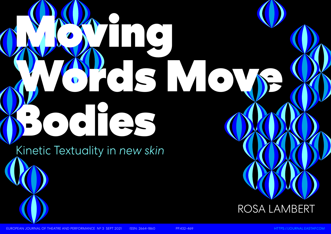Kinetic Textuality in *new skin* 

EUROPEAN JOURNAL OF THEATRE AND PERFORMANCE N° 3 SEPT 2021 ISSN: 2664-1860 PP.432-469 [HTTPS://JOURNAL.EASTAP.COM](https://journal.eastap.com)



### ROSA LAMBERT

# Moving NOV N Bodies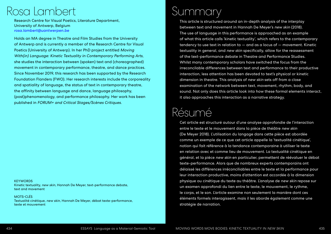### Summary

This article is structured around an in-depth analysis of the interplay between text and movement in Hannah De Meyer's new skin (2018). The use of language in this performance is approached as an example of what this article calls 'kinetic textuality', which refers to the contemporary tendency to use text in relation to — and as a locus of — movement. Kinetic textuality in general, and new skin specifically, allow for the reassessment of the text-performance debate in Theatre and Performance Studies. Whilst many contemporary scholars have switched the focus from the irreconcilable differences between text and performance to their productive interaction, less attention has been devoted to text's physical or kinetic dimension in theatre. This analysis of new skin sets off from a close examination of the network between text, movement, rhythm, body, and sound. Not only does this article look into how these formal elements interact, it also approaches this interaction as a narrative strategy.

### Rosa Lambert

Research Centre for Visual Poetics, Literature Department, University of Antwerp, Belgium *[rosa.lambert@uantwerpen.be](mailto:rosa.lambert%40uantwerpen.be?subject=)*

Holds an MA degree in Theatre and Film Studies from the University of Antwerp and is currently a member of the Research Centre for Visual Poetics (University of Antwerp). In her PhD project entitled Moving With(in) Language: Kinetic Textuality in Contemporary Performing Arts, she studies the interaction between (spoken) text and (choreographed) movement in contemporary performance, theatre, and dance practices. Since November 2019, this research has been supported by the Research Foundation Flanders (FWO). Her research interests include the corporeality and spatiality of language, the status of text in contemporary theatre, the affinity between language and dance, language philosophy, (post)phenomenology, and performance philosophy. Her work has been published in FORUM+ and Critical Stages/Scènes Critiques.

**KEYWORDS** Kinetic textuality, new skin, Hannah De Meyer, text-performance debate, text and movement

### Résumé

Cet article est structuré autour d'une analyse approfondie de l'interaction entre le texte et le mouvement dans la pièce de théâtre new skin (De Meyer 2018). L'utilisation du langage dans cette pièce est abordée comme un exemple de ce que cet article appelle la 'textualité cinétique', notion qui fait référence à la tendance contemporaine à utiliser le texte en relation avec et comme lieu de mouvement. La textualité cinétique en général, et la pièce new skin en particulier, permettent de réévaluer le débat texte-performance. Alors que de nombreux experts contemporains ont délaissé les différences irréconciliables entre le texte et la performance pour leur interaction productive, moins d'attention est accordée à la dimension physique ou cinétique du texte au théâtre. L'analyse de new skin repose sur un examen approfondi du lien entre le texte, le mouvement, le rythme, le corps, et le son. L'article examine non seulement la manière dont ces éléments formels interagissent, mais il les aborde également comme une stratégie de narration.

MOTS-CLÉS Textualité cinétique, new skin, Hannah De Meyer, débat texte-performance, texte et mouvement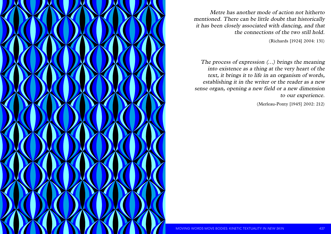



Metre has another mode of action not hitherto mentioned. There can be little doubt that historically it has been closely associated with dancing, and that the connections of the two still hold.

(Richards [1924] 2004: 131)

The process of expression (…) brings the meaning into existence as a thing at the very heart of the text, it brings it to life in an organism of words, establishing it in the writer or the reader as a new sense organ, opening a new field or a new dimension to our experience.

(Merleau-Ponty [1945] 2002: 212)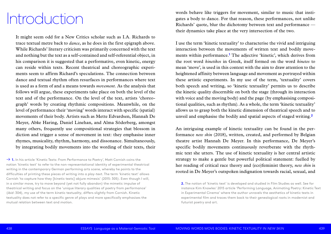words behave like triggers for movement, similar to music that instigates a body to dance. For that reason, these performances, not unlike Richards' quote, blur the dichotomy between text and performance their dynamics take place at the very intersection of the two.

I use the term 'kinetic textuality' to characterise the vivid and intriguing interaction between the movements of written text and bodily movements within performance.**<sup>1</sup>** The adjective 'kinetic', which derives from the root word *kinetikos* in Greek, itself formed on the word *kinetos* to mean 'move', is used in this context with the aim to draw attention to the heightened affinity between language and movement as portrayed within these artistic experiments. In my use of the term, 'textuality' covers both speech and writing, so 'kinetic textuality' permits us to describe the kinetic quality discernible on both the stage (through its interaction with voice and the moving body) and the page (by emphasising compositional qualities, such as rhythm). As a whole, the term 'kinetic textuality' allows us to grasp both the kinetic dimension of theatrical speech and to unveil and emphasise the bodily and spatial aspects of staged writing.**<sup>2</sup>**

An intriguing example of kinetic textuality can be found in the performance *new skin* (2018), written, created, and performed by Belgian theatre artist Hannah De Meyer. In this performance, De Meyer's specific bodily movements continuously reverberate with the rhythmic text she utters. The use of kinetic textuality is her central artistic strategy to make a gentle but powerful political statement: fuelled by her reading of critical race theory and (eco)feminist theory, *new skin* is rooted in De Meyer's outspoken indignation towards racial, sexual, and

→ 1. In his article 'Kinetic Texts: From Performance to Poetry', Matt Cornish coins the notion 'kinetic text' to refer to the non-representational identity of experimental theatrical writing in the contemporary German performing arts scene, whereby he points to the difficulties of printing these pieces of writing into a play-text. The term 'kinetic text' allows Cornish 'to capture how they [kinetic texts] abjure mimesis' (2015: 305). Even though I will, in a similar move, try to move beyond (yet not fully abandon) the mimetic impulse of theatrical writing and focus on the 'unique literary qualities of poetry from performance' (*ibid*: 304), my use of the term kinetic text*uality*, differs slightly from Cornish. Kinetic textuality does not refer to a specific genre of plays and more specifically emphasises the mutual relation between text and *motion*.

It might seem odd for a New Critics scholar such as I.A. Richards to trace textual metre back to *dance*, as he does in the first epigraph above. While Richards' literary criticism was primarily concerned with the text and nothing but the text as a self-contained and self-referential object, in his comparison it is suggested that a performative, even kinetic, energy can reside within texts. Recent theatrical and choreographic experiments seem to affirm Richard's speculations. The connection between dance and textual rhythm often resurfaces in performances where text is used as a form of and a means towards *movement*. As the analysis that follows will argue, these experiments take place on both the level of the text and of the performance. On the level of the text, artists 'choreograph' words by creating rhythmic compositions. Meanwhile, on the level of performance their 'moving' words interact with specific (spatial) movements of their body. Artists such as Mette Edvardsen, Hannah De Meyer, Abke Haring, Daniel Linehan, and Alma Söderberg, amongst many others, frequently use compositional strategies that blossom in diction and trigger a sense of movement in text: they emphasise inner rhymes, musicality, rhythm, harmony, and dissonance. Simultaneously, by integrating bodily movements into the wording of their texts, their

instance Kim Knowles' 2015 article 'Performing Language, Animating Poetry: Kinetic Text

### Introduction

**<sup>2.</sup>** The notion of 'kinetic text' is developed and studied in Film Studies as well. See for in Experimental Cinema' where the author unravels the aesthetics of kinetic texts in experimental film and traces them back to their genealogical roots in modernist and futurist poetry and art.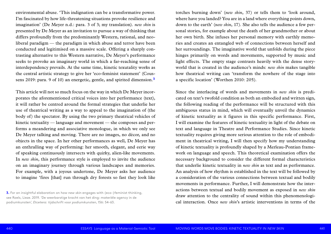torches burning down' (*new skin*, 37) or tells them to 'look around, where have you landed? You are in a land where everything points down, down to the earth' (*new skin*, 17). She also tells the audience a few personal stories, for example about the death of her grandmother or about her own birth. She infuses her personal memory with earthly memories and creates an entangled web of connections between herself and her surroundings. The imaginative world that unfolds during the piece hinges primarily on words and movements, supported by music and light effects. The empty stage contrasts heavily with the dense storyworld that is created in the audience's minds: *new skin* makes tangible how theatrical writing can 'transform the nowhere of the stage into a specific location' (Worthen 2010: 205).

Since the interlacing of words and movements in *new skin* is predicated on text's twofold condition as both an embodied and written sign, the following reading of the performance will be structured with this ambiguous status in mind, which will eventually unveil the dynamics of kinetic textuality as it figures in this specific performance. First, I will examine the features of kinetic textuality in light of the debate on text and language in Theatre and Performance Studies. Since kinetic textuality requires giving more serious attention to the role of embodiment in theatrical writing, I will then specify how my understanding of kinetic textuality is profoundly shaped by a Merleau-Pontian framework on language and speech. This theoretical examination offers the necessary background to consider the different formal characteristics that underlie kinetic textuality in *new skin* as text and as performance. An analysis of how rhythm is established in the text will be followed by a consideration of the various connections between textual and bodily movements in performance. Further, I will demonstrate how the interactions between textual and bodily movement as exposed in *new skin* draw attention to the centrality of sound within this phenomenological interaction. Once *new skin*'s artistic interventions in terms of the

environmental abuse. 'This indignation can be a transformative power. I'm fascinated by how life-threatening situations provoke resilience and imagination' (De Meyer n.d.: para. 3 of 3; my translation). *new skin* is presented by De Meyer as an invitation to pursue a way of thinking that differs profoundly from the predominantly Western, rational, and neoliberal paradigm — the paradigm in which abuse and terror have been conducted and legitimised on a massive scale. Offering a sharply contrasting alternative to this Western narrative, De Meyer's performance seeks to provoke an imaginary world in which a far-reaching sense of interdependency prevails. At the same time, kinetic texutality works as the central artistic strategy to give her 'eco-feminist statement' (Coussens 2019: para. 9 of 10) an energetic, gentle, and spirited dimension.**<sup>3</sup>**

This article will not so much focus on the way in which De Meyer incorporates the aforementioned critical voices into her performance (text), it will rather be centred around the formal strategies that underlie her use of theatrical writing as a way to appeal to the imagination of (the body of) the spectator. By using the two primary theatrical vehicles of kinetic textuality — language and movement — she composes and performs a meandering and associative monologue, in which we only see De Meyer talking and moving. There are no images, no décor, and no objects in the space. In her other performances as well, De Meyer has an enthralling way of performing: her smooth, elegant, and eerie way of speaking continuously intersects with quirky, alien-like movements. In *new skin*, this performance style is employed to invite the audience on an imaginary journey through various landscapes and memories. For example, with a joyous undertone, De Meyer asks her audience to imagine 'fires [that] run through dry forests so fast they look like

**3.** For an insightful elaboration on how *new skin* engages with (eco-)feminist thinking, see Roels, Lieze. 2019. 'De weerbarstige kracht van het ding: materiële agency in de podiumkunsten', *Etcetera: tijdschrift voor podiumkunsten*, 156: 54-63.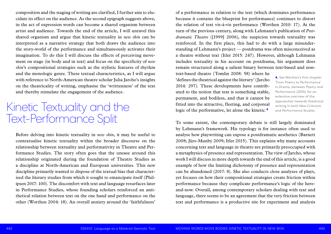of a performance in relation to the text (which dominates performance because it contains the blueprint for performance) continues to distort the relation of text vis-à-vis performance (Worthen 2010: 17). At the turn of the previous century, along with Lehmann's publication of *Postdramatic Theatre* ([1999] 2006), the suspicion towards textuality was reinforced. In the first place, this had to do with a large misunderstanding of Lehmann's project — postdrama was often misconceived as a theatre without text (Itler 2015: 247). However, although Lehmann includes textuality in his account on postdrama, his argument does remain structured along a salient binary between text-based and nontext-based theatre (Tomlin 2008: 58) where he 'defines the theatrical against the literary' (Jarcho 2014: 297). These developments have contributed to the notion that text is something stable, permanent, and bodiless, and that it cannot be fitted into the attractive, fleeting, and corporeal logic of the performative, let alone the kinetic.**<sup>4</sup> 4.** See Worthen's first chapter 'From Poetry to Performance' in *Drama, between Poetry and Performance* (2010) for an extensive overview of the approaches towards theatrical Fitted into the attractive, fleeting, and corporeal writing in both New Criticism<br>logic of the performative, let alone the kinetic.<sup>4</sup> and Performance Studies.

To some extent, the contemporary debate is still largely dominated by Lehmann's framework. His typology is for instance often used to analyse how playwriting can expose a postdramatic aesthetics (Barnett 2008; Jürs-Munby 2009; Itler 2015). This explains why many accounts concerning text and language in theatre are primarily preoccupied with a metaphysics of presence and representation. The view of Jarcho, whose work I will discuss in more depth towards the end of this article, is a good example of how the limiting dichotomy of presence and representation can be abandoned (2017: 8). She also conducts close analyses of plays, yet focuses on how their compositional strategies create friction within performance because they complicate performance's logic of the hereand-now. Overall, among contemporary scholars dealing with text and language, there seems to be an agreement that the very friction between text and performance is a productive site for experiment and analysis

composition and the staging of writing are clarified, I further aim to elucidate its effect on the audience. As the second epigraph suggests above, in the act of expression words can become a shared organism between artist and audience. Towards the end of the article, I will unravel this shared organism and argue that kinetic textuality in *new skin* can be interpreted as a narrative strategy that both draws the audience into the story-world of the performance and simultaneously activates their imagination. To do this I will discuss the effects of perceiving movement on stage (in body and in text) and focus on the specificity of *new skin*'s compositional strategies such as the stylistic features of rhythm and the monologic genre. These textual characteristics, as I will argue with reference to North-American theatre scholar Julia Jarcho's insights on the theatricality of writing, emphasise the 'writtenness' of the text and thereby stimulate the engagement of the audience.

Before delving into kinetic textuality in *new skin*, it may be useful to contextualise kinetic textuality within the broader discourse on the relationship between textuality and performativity in Theatre and Performance Studies. The story often goes that the unease around this relationship originated during the foundation of Theatre Studies as a discipline at North-American and European universities. This new discipline primarily wanted to dispose of the textual bias that characterised the literary studies from which it sought to emancipate itself (Philipsen 2017: 100). The discomfort with text and language resurfaces later in Performance Studies, whose founding scholars reinforced an antithetical relation between text on the one hand and performance on the other (Worthen 2004: 18). An overall anxiety around the 'faithfulness'

## Text-Performance Split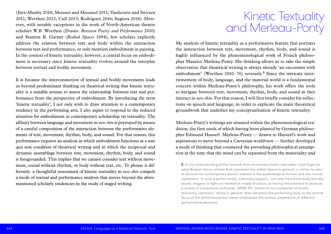My analysis of kinetic textuality as a performative feature that portrays the interaction between text, movement, rhythm, body, and sound is highly influenced by the phenomenological work of French philosopher Maurice Merleau-Ponty. His thinking allows us to take the simple observation that theatrical writing is always already 'an encounter with embodiment' (Worthen 2010: 76) seriously.**5** Since the intricate intertwinement of body, language, and the material world is a fundamental concern within Merleau-Ponty's philosophy, his work offers the tools to navigate between text, movement, rhythm, body, and sound as they interact in *new skin*. For that reason, I will first briefly consider his reflections on speech and language, in order to explicate the main theoretical groundwork that underlies my conceptualisation of kinetic textuality.

Merleau-Ponty's writings are situated within the phenomenological tradition, the first seeds of which having been planted by German philosopher Edmund Husserl. Merleau-Ponty — drawn to Husserl's work and aspirations to move beyond a Cartesian worldview — further developed a mode of thinking that countered the prevailing philosophical assumption at the time that the mind can be separated from the materiality and

(Jürs-Munby 2010; Meisner and Mounsef 2011; Vanhoutte and Swyzen 2011; Worthen 2012; Cull 2013; Rodríguez 2016; Sugiera 2016). However, with notable exceptions in the work of North-American theatre scholars W.B. Worthen (*Drama: Between Poetry and Performance* 2010) and Stanton B. Garner (*Bodied Spaces* 1994), few scholars explicitly address the relation between text and body within the interaction between text and performance, or only mention embodiment in passing. In the context of kinetic textuality, however, a central focus on embodiment is necessary since kinetic textuality evolves around the interplay between textual and bodily movement.

It is because the interconnection of textual and bodily movements leads us beyond predominant thinking on theatrical writing that kinetic textuality is a suitable avenue to assess the relationship between text and performance from the perspective of embodiment. By introducing the term 'kinetic textuality', I not only wish to draw attention to a contemporary tendency in the performing arts, I also aspire to respond to the reduced attention for embodiment in contemporary scholarship on textuality. The affinity between language and movement in *new skin* is portrayed by means of a careful composition of the interaction between the performative elements of text, movement, rhythm, body, and sound. For that reason, this performance requires an analysis in which embodiment functions as a sine qua non condition of theatrical writing and in which the reciprocal and dynamic assemblage between text, movement, rhythm, body, and sound is foregrounded. This implies that we cannot consider text without movement, sound without rhythm, or body without text, etc. To phrase it differently: a thoughtful assessment of kinetic textuality in *new skin* compels a mode of textual and performance analysis that moves beyond the aforementioned scholarly tendencies in the study of staged writing.

### Kinetic Textuality and Merleau-Ponty

**5.** In my understanding of the network that constitutes kinetic textuality, I also linger on what Belgian dance scholar Rudi Laermans has called 'dance in general', a notion he uses to account for contemporary dance's interest in the assemblage of human and non-human movement. 'In such a performance', Laermans explains, 'not only the human body but also sound, imagery or light are treated as media of dance, as having the potential to produce a variety of movements and poses' (2008: 10). Similar to my conception of kinetic textuality, Laermans' 'dance in general' does not place the performing body as the central focus of the performance but rather emphasises the mutual cooperation of different performative elements.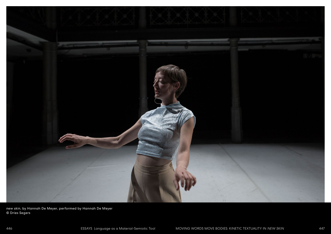

*new skin*, by Hannah De Meyer, performed by Hannah De Meyer © Dries Segers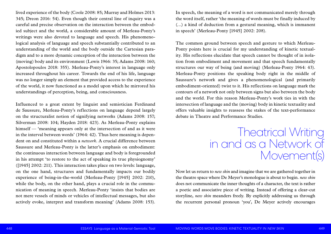In speech, the meaning of a word is not communicated merely through the word itself, rather 'the meaning of words must be finally induced by (…) a kind of deduction from a gestural meaning, which is immanent in speech' (Merleau-Ponty [1945] 2002: 208).

The common ground between speech and gesture to which Merleau-Ponty points here is crucial for my understanding of kinetic textuality. His reflections elucidate that speech cannot be thought of in isolation from embodiment and movement and that speech fundamentally structures our way of being (and moving) (Merleau-Ponty 1964: 43). Merleau-Ponty positions the speaking body right in the middle of Saussure's network and gives a phenomenological (and primarily embodiment-oriented) twist to it. His reflections on language mark the contours of a network not only between signs but also between the body and the world. For this reason Merleau-Ponty's work ties in with the intersection of language and the (moving) body in kinetic textuality and offers valuable insights to reassess the stakes of the text-performance debate in Theatre and Performance Studies.

Now let us return to *new skin* and imagine that we are gathered together in the theatre space where De Meyer's monologue is about to begin. *new skin* does not communicate the inner thoughts of a character, the text is rather a poetic and associative piece of writing. Instead of offering a clear-cut storyline, *new skin* meanders freely. By explicitly addressing us through the recurrent personal pronoun 'you', De Meyer actively encourages

lived experience of the body (Coole 2008: 85; Murray and Holmes 2013: 345; Dreon 2016: 54). Even though their central line of inquiry was a careful and precise observation on the interaction between the embodied subject and the world, a considerable amount of Merleau-Ponty's writings were also devoted to language and speech. His phenomenological analysis of language and speech substantially contributed to an understanding of the world and the body outside the Cartesian paradigm and to a more dynamic conception of the interaction between the (moving) body and its environment (Lewis 1966: 35; Adams 2008: 160; Apostolopoulos 2018: 355). Merleau-Ponty's interest in language only increased throughout his career. Towards the end of his life, language was no longer simply an element that provided access to the experience of the world, it now functioned as a model upon which he mirrored his understandings of perception, being, and consciousness.

Influenced to a great extent by linguist and semiotician Ferdinand de Saussure, Merleau-Ponty's reflections on language depend largely on the structuralist notion of signifying networks (Adams 2008: 157; Silverman 2008: 104; Hayden 2018: 423). As Merleau-Ponty explains himself — 'meaning appears only at the intersection of and as it were in the interval between words' (1964: 42). Thus here meaning is dependent on and constituted within a *network*. A crucial difference between Saussure and Merleau-Ponty is the latter's emphasis on embodiment: the continuous interaction between language and body is foregrounded in his attempt 'to restore to the act of speaking its true physiognomy' ([1945] 2002: 211). This interaction takes place on two levels: language, on the one hand, structures and fundamentally impacts our bodily experience of being-in-the-world (Merleau-Ponty [1945] 2002: 210), while the body, on the other hand, plays a crucial role in the communication of meaning in speech. Merleau-Ponty 'insists that bodies are not mere vessels of minds or vehicles of intellectual messages, but also actively evoke, interpret and transform meaning' (Adams 2008: 153).

Theatrical Writing in and as a Network of Movement(s)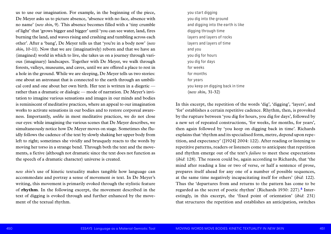you start digging you dig into the ground and digging into the earth is like digging through time layers and layers of rocks layers and layers of time and you you dig for hours you dig for days for weeks for months for years you keep on digging back in time (*new skin*, 31-32)

In this excerpt, the repetition of the words 'dig', 'digging', 'layers', and 'for' establishes a certain repetitive cadence. Rhythm, then, is provoked by the rupture between 'you dig for hours, you dig for days', followed by a new set of repeated constructions, 'for weeks, for months, for years', then again followed by 'you keep on digging back in time'. Richards explains that 'rhythm and its specialised form, metre, depend upon repetition, and expectancy' ([1924] 2004: 122). After reading or listening to repetitive patterns, readers or listeners come to anticipate that repetition and rhythm emerge out of the text's *failure* to meet these expectations (*ibid*: 128). The reason could be, again according to Richards, that 'the mind after reading a line or two of verse, or half a sentence of prose, prepares itself ahead for any one of a number of possible sequences, at the same time negatively incapacitating itself for others' (*ibid*: 122). Thus the 'departures from and returns to the pattern has come to be regarded as the secret of poetic rhythm' (Richards 1930: 227).**6** Interestingly, in this excerpt, the 'fixed point of orientation' (*ibid*: 231) that structures the repetition and establishes an anticipation, switches

us to use our imagination. For example, in the beginning of the piece, De Meyer asks us to picture absence, 'absence with no face, absence with no name' (*new skin*, 9). This absence becomes filled with a 'tiny crumble of light' that 'grows bigger and bigger' until 'you can see water, land, fires burning the land, and waves rising and crashing and tumbling across each other'. After a 'bang', De Meyer tells us that 'you're in a body now' (*new skin*, 10-11). Now that we are (imaginatively) reborn and that we have an (imagined) world in which to live, she takes us on a journey through various (imaginary) landscapes. Together with De Meyer, we walk through forests, valleys, museums, and caves, until we are offered a place to rest in a hole in the ground. While we are sleeping, De Meyer tells us two stories: one about an astronaut that is connected to the earth through an umbilical cord and one about her own birth. Her text is written in a diegetic rather than a dramatic or dialogic — mode of narration. De Meyer's invitation to imagine various sensations and images in our minds and bodies is reminiscent of meditative practices, where an appeal to our imagination works to activate sensations in our bodies and to restore corporeal awareness. Importantly, *unlike* in most meditative practices, we do not close our eyes: while imagining the various scenes that De Meyer describes, we simultaneously notice how De Meyer moves on stage. Sometimes she fluidly follows the cadence of the text by slowly shaking her upper body from left to right; sometimes she vividly and brusquely reacts to the words by moving her torso in a strange bend. Through both the text and the movements, a fictive (although not dramatic since the text does not function as the speech of a dramatic character) universe is created.

*new skin*'s use of kinetic textuality makes tangible how language can accommodate and portray a sense of movement *in* text. In De Meyer's writing, this movement is primarily evoked through the stylistic feature of **rhythm**. In the following excerpt, the movement described in the text of digging is evoked through and further enhanced by the movement of the textual rhythm.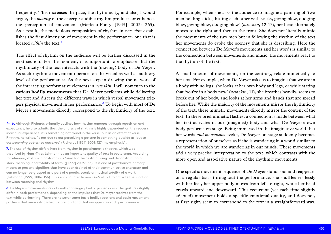For example, when she asks the audience to imagine a painting of 'two men holding sticks, hitting each other with sticks, giving blow, dodging blow, giving blow, dodging blow' (*new skin*, 12-13), her head alternately moves to the right and then to the front. She does not literally mimic the movements of the two men but in following the rhythm of the text her movements do evoke the scenery that she is describing. Here the connection between De Meyer's movements and her words is similar to the connection between movements and music: the movements react to the rhythm of the text.

A small amount of movements, on the contrary, relate mimetically to her text. For example, when De Meyer asks us to imagine that we are in a body with no legs, she looks at her own body and legs, or while stating that 'you're in a body now' (*new skin*, 11), she breathes heavily, seems to break out of her body, and looks at her arms and hands that are spread before her. While the majority of the movements mirror the rhythmicity of the text, these mimetic movements directly mirror the content of the text. In these brief mimetic flashes, a connection is made between what her text activates in our (imagined) body and what De Meyer's own body performs on stage. Being immersed in the imaginative world that her words *and movements* evoke, De Meyer on stage suddenly becomes a representation of ourselves as if she is wandering in a world similar to the world in which we are wandering in our minds. These movements add a very precise interpretation to the text, which contrasts with the more open and associative nature of the rhythmic movements.

One specific movement sequence of De Meyer stands out and reappears on a regular basis throughout the performance: she shuffles restlessly with her feet, her upper body moves from left to right, while her head crawls upward and downward. This recurrent (yet each time slightly adapted) movement holds a specific emotional quality, and does not, at first sight, seem to correspond to the text in a straightforward way.

frequently. This increases the pace, the rhythmicity, and also, I would argue, the *motility* of the excerpt: audible rhythm produces or enhances the perception of movement (Merleau-Ponty [1945] 2002: 265). As a result, the meticulous composition of rhythm in *new skin* establishes the first dimension of movement in the performance, one that is located *within* the text.**<sup>7</sup>**

The effect of rhythm on the audience will be further discussed in the next section. For the moment, it is important to emphasise that the rhythmicity of the text interacts with the (moving) body of De Meyer. As such rhythmic movement operates on the visual as well as auditory level of the performance. As the next step in drawing the network of the interacting performative elements in *new skin*, I will now turn to the various **bodily movements** that De Meyer performs while delivering her text and discern the different ways in which verbal movement triggers physical movement in her performance.**<sup>8</sup>** To begin with most of De Meyer's movements directly correspond to the rhythmicity of the text.

← **6.** Although Richards primarily outlines how rhythm emerges through repetition and expectancy, he also admits that the analysis of rhythm is highly dependent on the reader's individual experience: it is something not found in the verse, but as an effect of verse. Rhythm, he writes, 'is not due to our perceiving a pattern in something outside us, but to *our becoming patterned ourselves*' (Richards [1924] 2004: 127; my emphasis).

**7.** The use of rhythm differs here from rhythm in postdramatic theatre, which was theorised by Hans-Thies Lehmann as an important quality of text in postdrama. According to Lehmann, rhythm in postdrama is 'used for the destructuring and deconstructing of story, meaning, and totality of form' ([1999] 2006: 156). It is one of postdrama's primary means to present 'signifiers that have been drained of their communicative character and can no longer be grasped as a part of a poetic, scenic or musical totality of a work' (Lehmann [1999] 2006: 156). This runs counter to *new skin*'s effort to activate the junction between meaning and rhythm.

**8.** De Meyer's movements are not neatly choreographed or pinned down. Her gestures slightly differ in each performance, depending on the impulses that De Meyer receives from the text while performing. There are however some basic bodily reactions and basic movement patterns that were established beforehand and that re-appear in each performance.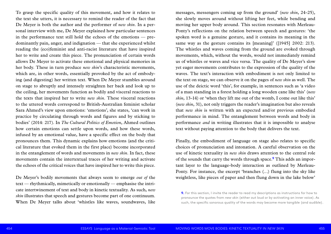messages, messengers coming up from the ground' (*new skin*, 24-25), she slowly moves around without lifting her feet, while bending and moving her upper body around. This section resonates with Merleau-Ponty's reflections on the relation between speech and gestures: 'the spoken word is a genuine gesture, and it contains its meaning in the same way as the gesture contains its [meaning]' ([1945] 2002: 213). The whistles and waves coming from the ground are evoked through movements, which, without the words, would not immediately remind us of whistles or waves and vice versa. The quality of De Meyer's slow yet eager movements contributes to the expression of the quality of the waves. The text's interaction with embodiment is not only limited to the text on stage, we can observe it on the pages of *new skin* as well. The use of the deictic word 'this', for example, in sentences such as 'a video of a man standing in a forest holding a long wooden cane like this' (*new skin*, 13-14) or 'when they lift me out of the womb, I come out like this' (*new skin*, 31), not only triggers the reader's imagination but also reveals that *new skin* is written with an expected and/or previous embodied performance in mind. The entanglement between words and body in performance *and* in writing illustrates that it is impossible to analyse text without paying attention to the body that delivers the text.

Finally, the embodiment of language on stage also relates to specific choices of pronunciation and intonation. A careful observation on the use of kinetic textuality in *new skin* draws attention to the central role of the sounds that carry the words through space.**9** This adds an important layer to the language-body interaction as outlined by Merleau-Ponty. For instance, the excerpt 'branches (…) flung into the sky like weightless, like pieces of paper and then flung down in the lake below'

To grasp the specific quality of this movement, and how it relates to the text she utters, it is necessary to remind the reader of the fact that De Meyer is both the author and the performer of *new skin*. In a personal interview with me, De Meyer explained how particular sentences in the performance text still hold the echoes of the emotions — predominantly pain, anger, and indignation — that she experienced whilst reading the (eco)feminist and anti-racist literature that have inspired her to write and create this piece. The pronunciation of certain words allows De Meyer to activate these emotional and physical memories in her body. These in turn produce *new skin*'s characteristic movements, which are, in other words, essentially provoked by the act of embodying (and digesting) her written text. When De Meyer stumbles around on stage to abruptly and intensely straighten her back and look up to the ceiling, her movements function as bodily and visceral reactions to the texts that inspired her to write *new skin*. These visceral reactions to the uttered words correspond to British-Australian feminist scholar Sara Ahmed's view upon emotions: 'emotions', she states, 'can work in practice by circulating through words and figures and by sticking to bodies' (2014: 217). In *The Cultural Politics of Emotion*, Ahmed outlines how certain emotions can settle upon words, and how these words, infused by an emotional value, have a specific effect on the body that pronounces them. This dynamic explains how emotions (and the critical literature that evoked them in the first place) become incorporated in the entanglement of words and movements in *new skin*. In fact, these movements contain the intertextual traces of her writing and activate the echoes of the critical voices that have inspired her to write this piece.

De Meyer's bodily movements that always seem to emerge *out of* the text — rhythmically, mimetically or emotionally — emphasise the intricate intertwinement of text and body in kinetic textuality. As such, *new skin* illustrates that speech and gestures become part of one continuum. When De Meyer talks about 'whistles like waves, soundwaves, like

pronounce the quotes from *new skin* (either out loud or by activating an inner voice). As such, the specific sonorous quality of the words may become more tangible (and audible).

**<sup>9.</sup>** For this section, I invite the reader to read my descriptions as instructions for how to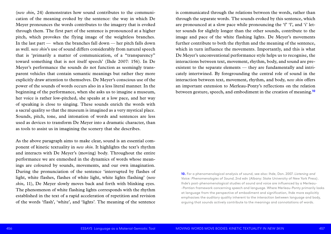is communicated through the relations between the words, rather than through the separate words. The sounds evoked by this sentence, which are pronounced at a slow pace while pronouncing the 'f' 'l', and 'i' letter sounds for slightly longer than the other sounds, contribute to the image and pace of the white flashing lights. De Meyer's movements further contribute to both the rhythm and the meaning of the sentence, which in turn influence the movements. Importantly, and this is what De Meyer's unconventional performance style helps us to recognise, the interactions between text, movement, rhythm, body, and sound are preexistent to the separate elements — they are fundamentally and intricately intertwined. By foregrounding the central role of sound in the interaction between text, movement, rhythm, and body, *new skin* offers an important extension to Merleau-Ponty's reflections on the relation between gesture, speech, and embodiment in the creation of meaning.**<sup>10</sup>**

(*new skin*, 24) demonstrates how sound contributes to the communication of the meaning evoked by the sentence: the way in which De Meyer pronounces the words contributes to the imagery that is evoked through them. The first part of the sentence is pronounced at a higher pitch, which provokes the flying image of the weightless branches. In the last part — when the branches fall down — her pitch falls down as well. *new skin*'s use of sound differs considerably from natural speech that is 'primarily a matter of communication, of a "transparency" toward something that is not itself speech' (Ihde 2007: 156). In De Meyer's performance the sounds do not function as seemingly transparent vehicles that contain semantic meanings but rather they more explicitly draw attention to themselves. De Meyer's conscious use of the power of the sounds of words occurs also in a less literal manner. In the beginning of the performance, when she asks us to imagine a museum, her voice is rather low-pitched, she speaks at a low pace, and her way of speaking is close to singing. These sounds enrich the words with a sacral quality so that the museum is imagined as a very mystical place. Sounds, pitch, tone, and intonation of words and sentences are less used as devices to transform De Meyer into a dramatic character, than as tools to assist us in imagining the scenery that she describes.

As the above paragraph aims to make clear, sound is an essential component of kinetic textuality in *new skin*. It highlights the text's rhythm and interacts with De Meyer's (moving) body. Throughout the entire performance we are enmeshed in the dynamics of words whose meanings are coloured by sounds, movements, and our own imagination. During the pronunciation of the sentence 'interrupted by flashes of light, white flashes, flashes of white light, white lights flashing' (*new skin*, 11), De Meyer slowly moves back and forth with blinking eyes. The phenomenon of white flashing lights corresponds with the rhythm established in the text of a rapid acceleration of repetition and revision of the words 'flash', 'white', and 'lights'. The meaning of the sentence

**10.** For a phenomenological analysis of sound, see also: Ihde, Don. 2007. *Listening and Voice: Phenomenologies of Sound*, 2nd edn (Albany: State University of New York Press). Ihde's post-phenomenological studies of sound and voice are influenced by a Merleau- -Pontian framework concerning speech and language. Where Merleau-Ponty primarily looks at language from the perspective of embodiment and signification, Ihde more explicitly emphasises the auditory quality inherent to the interaction between language and body, arguing that sounds actively contribute to the meanings and connotations of words.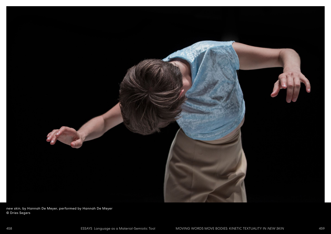

*new skin*, by Hannah De Meyer, performed by Hannah De Meyer © Dries Segers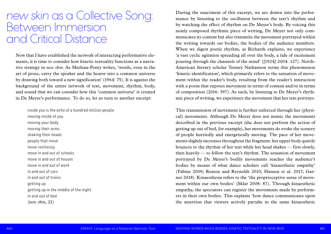During the enactment of this excerpt, we are drawn into the performance by listening to the oscillation between the text's rhythm and by watching the effect of rhythm on De Meyer's body. By voicing this neatly composed rhythmic piece of writing, De Meyer not only communicates its content but also transmits the movement portrayed within the writing towards *our* bodies, the bodies of the audience members. When we digest poetic rhythm, as Richards explains, we experience 'a vast cyclic agitation spreading all over the body, a tide of excitement pouring through the channels of the mind' ([1924] 2004: 127). North-American literary scholar Tenney Nathanson terms this phenomenon 'kinetic identification', which primarily refers to the sensation of movement within the reader's body, resulting from the reader's interaction with a poem that exposes movement in terms of content and/or in terms of composition (2016: 397). As such, by listening to De Meyer's rhythmic piece of writing, we experience the movement that her text portrays.

This transmission of movement is further enforced through her (physical) movements. Although De Meyer does not mimic the movements described in the previous excerpt (she does not perform the action of getting up out of bed, for example), her movements do evoke the scenery of people hurriedly and energetically moving. The pace of her movements slightly increases throughout the fragment: her upper body quietly bounces to the rhythm of her text while her head shakes — first slowly, then heavily — to follow the text's rhythm. The sensation of movement portrayed by De Meyer's bodily movements reaches the audience's bodies by means of what dance scholars call 'kinaesthetic empathy' (Fabius 2009; Reason and Reynolds 2010; Hansen et al. 2017; Garner 2018). Kinaesthesia refers to the 'the proprioceptive sense of movement within our own bodies' (Sklar 2008: 87). Through kinaesthetic empathy, the spectators can register the movements made by performers in their own bodies. This explains 'how dance communicates upon the assertion that viewers actively partake in the same kinaesthetic

Now that I have established the network of interacting performative elements, it is time to consider how kinetic textuality functions as a narrative strategy in *new skin*. As Merleau-Ponty writes, 'words, even in the art of prose, carry the speaker and the hearer into a common universe by drawing both toward a new signification' (1964: 75). It is against the background of the entire network of text, movement, rhythm, body, and sound that we can consider how this 'common universe' is created in De Meyer's performance. To do so, let us turn to another excerpt:

inside you is the echo of a hundred million people moving inside of you moving your body moving their arms shaking their heads people that move move restlessly move in and out of schools move in and out of houses move in and out of work in and out of cars in and out of trains getting up getting up in the middle of the night in and out of bed (*new skin*, 21)

#### *new skin* as a Collective Song: Between Immersion and Critical Distance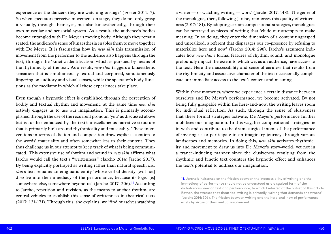a writer — or watching writing — work' (Jarcho 2017: 148). The genre of the monologue, then, following Jarcho, reinforces this quality of writtenness (2017: 181). By adopting certain compositional strategies, monologues can be portrayed as pieces of writing that 'elude our attempts to make meaning. In so doing, they enter the dimension of a content ungrasped and unrealized, a referent that disparages our co-presence by refusing to materialize here and now' (Jarcho 2014: 298). Jarcho's argument indicates how *new skin*'s formal features of rhythm, sound, and monologue profoundly impact the extent to which we, as an audience, have access to the text. Here the inaccessibility and sense of eeriness that results from the rhythmicity and associative character of the text occasionally complicate our immediate access to the text's content and meaning.

Within these moments, where we experience a certain distance between ourselves and De Meyer's performance, we become activated. By not being fully graspable within the here-and-now, the writing leaves room for individual reflection. As such, through the sense of elusiveness that these formal strategies activate, De Meyer's performance further mobilises our imagination. In this way, her compositional strategies tie in with and contribute to the dramaturgical intent of the performance of inviting us to participate in an imaginary journey through various landscapes and memories. In doing this, *new skin* activates rhythmicity and movement to draw us into De Meyer's story-world, yet not in a trance-inducing manner since the elusiveness resulting from the rhythmic and kinetic text counters the hypnotic effect and enhances the text's potential to address our imagination.

experience as the dancers they are watching onstage' (Foster 2011: 7). So when spectators perceive movement on stage, they do not only grasp it visually, through their eyes, but also kinaesthetically, through their own muscular and sensorial system. As a result, the audience's bodies become entangled with De Meyer's moving body. Although they remain seated, the audience's sense of kinaesthesia enables them to move together with De Meyer. It is fascinating how in *new skin* this transmission of movement from the performer to the audience also happens through the text, through the 'kinetic identification' which is pursued by means of the rhythmicity of the text. As a result, *new skin* triggers a kinaesthetic sensation that is simultaneously textual and corporeal, simultaneously lingering on auditory and visual senses, while the spectator's body functions as the mediator in which all these experiences take place.

Even though a hypnotic effect is established through the perception of bodily and textual rhythm and movement, at the same time *new skin* actively engages us to use our imagination. This is primarily accomplished through the use of the recurrent pronoun 'you' as discussed above but is further enhanced by the text's miscellaneous narrative structure that is primarily built around rhythmicality and musicality. These interventions in terms of diction and composition draw explicit attention to the words' materiality and often somewhat less to their content. They thus challenge us in our attempt to keep track of what is being communicated. This extensive use of rhythm and sound in *new skin* affirms what Jarcho would call the text's "writtenness" (Jarcho 2014; Jarcho 2017). By being explicitly portrayed as writing rather than natural speech, *new skin*'s text remains an enigmatic entity 'whose verbal density [will not] dissolve into the immediacy of the performance, because its logic [is] somewhere else, somewhere beyond us' (Jarcho 2017: 206).**<sup>11</sup>** According to Jarcho, repetition and revision, as the means to anchor rhythm, are central vehicles to establish this sense of writtenness in theatrical texts (2017: 131-171). Through this, she explains, we 'find ourselves watching

dichotomous view on text and performance, to which I referred at the outset of this article. Rather, she stresses that theatrical writing is primarily 'writing that demands enactment'

**<sup>11.</sup>** Jarcho's insistence on the friction between the inaccessibility of writing and the immediacy of performance should not be understood as a disguised form of the (Jarcho 2014: 306). The friction between writing and the here-and-now of performance exists by virtue of their mutual involvement.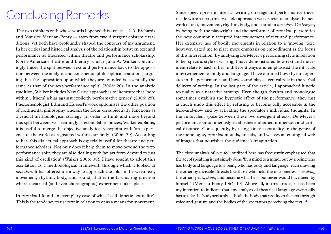Since speech presents itself as writing on stage and performative traces reside within text, this two-fold approach was crucial to analyse the network of text, movement, rhythm, body, and sound in *new skin*. De Meyer, by being both the playwright and the performer of *new skin*, personifies the now commonly accepted intertwinement of text and performance. Her extensive use of bodily movements in relation to a 'moving' text, however, urged me to place more emphasis on embodiment as the locus of this interrelation. By analysing De Meyer's performing style in relation to her specific style of writing, I have demonstrated how text and movement relate to each other in different ways and emphasised the intricate intertwinement of body and language. I have outlined how rhythm operates in the performance and how sound plays a central role in the verbal delivery of writing. In the last part of the article, I approached kinetic textuality as a narrative strategy. Even though rhythm and monologue sometimes establish the hypnotic effect of the performance, they just as much undo this effect by refusing to become fully accessible in the here-and-now and by activating the spectator's individual thoughts. In the ambivalent space between these two divergent effects, De Meyer's performance simultaneously establishes embodied immersion and critical distance. Consequently, by using kinetic textuality in the genre of the monologue, *new skin* moulds, kneads, and weaves an entangled web of images that nourishes the audience's imagination.

The close analysis of *new skin* outlined here has frequently emphasised that the act of speaking is not simply done 'by a mind to a mind, but by a being who has body and language to a being who has body and language, each drawing the other by invisible threads like those who hold the marionettes — *making*  the other speak, *think*, and become what he is but never would have been by himself' (Merleau-Ponty 1964: 19). Above all, in this article, it has been my intention to indicate that any analysis of theatrical language eventually has to take the body seriously — both the body that produces the text through voice and gesture and the bodies of the spectators perceiving the text. •

The two thinkers with whose words I opened this article — I.A. Richards and Maurice Merleau-Ponty — stem from two divergent epistemic traditions, yet both have profoundly shaped the contours of my argument. In her critical and historical analysis of the relationship between text and performance as theorised within theatre and performance scholarship, North-American theatre and literary scholar Julia A. Walker convincingly traces the split between text and performance back to the opposition between the analytic and continental philosophical traditions, arguing that the 'opposition upon which they are founded is essentially the same as that of the text/performance split' (2006: 20). In the analytic tradition, Walker includes New Critic approaches to literature that 'bore within...[them] a bias against explicitly performative genres' (2006: 25). Phenomenologist Edmund Husserl's work epitomises the other position of continental philosophy wherein the focus on subjectivity functions as a crucial methodological strategy. In order to think and move beyond this split between two seemingly irreconcilable stances, Walker explains, it is useful to merge the objective analytical viewpoint with 'an experience of the world as registered within our body' (2006: 39). According to her, this dialectical approach is especially useful for theatre and performance scholars. Not only does it help them to move beyond the textperformance split, they are also dealing with 'an art form devoted to just this kind of oscillation' (Walker 2006: 38). I have sought to adopt this oscillation as a methodological framework through which I looked at *new skin*. It has offered me a way to approach the folds in between text, movement, rhythm, body, and sound, that is the fascinating junction where theatrical (and even choreographic) experiment takes place.

In *new skin* I found an exemplary case of what I call 'kinetic textuality'. This is the tendency to use text in relation to or as a means for movement.

### Concluding Remarks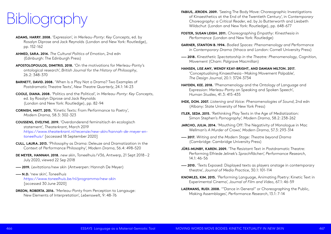of Kinaesthetics at the End of the Twentieth Century', in *Contemporary* 

- **FABIUS, JEROEN. 2009.** 'Seeing The Body Move: Choreographic Investigations *Choreography: a Critical Reader*, ed. by Jo Butterworth and Liesbeth Wildschut (London and New York: Routledge), pp. 648-677
- **FOSTER, SUSAN LEIGH. 2011.** *Choreographing Empathy: Kinesthesia in Performance* (London and New York: Routledge)
- **GARNER, STANTON B. 1994.** *Bodied Spaces: Phenomenology and Performance in Contemporary Drama* (Ithaca and London: Cornell University Press)
- **—— 2018.** *Kinesthetic Spectatorship in the Theatre: Phenomenology, Cognition, Movement* (Cham: Palgrave Macmillan)
- **HANSEN, LISE AMY, WENDY KEAY-BRIGHT, AND DAMIAN MILTON. 2017.** 'Conceptualising Kinaesthesia – Making Movement Palpable', *The Design Journal*, 20.1: 3724-3734
- **HAYDEN, KEE. 2018.** 'Phenomenology and the Ontology of Language and Expression: Merleau-Ponty on Speaking and Spoken Speech', *Human Studies*, 41.3: 415-435
- **IHDE, DON. 2007.** *Listening and Voice: Phenomenologies of Sound*, 2nd edn (Albany: State University of New York Press)
- **ITLER, SEDA. 2015.** 'Rethinking Play Texts in the Age of Mediatization: Simon Stephen's *Pornography', Modern Drama*, 58.2: 238-262
- **JARCHO, JULIA. 2014.** 'Mouthing Off: The Negativity of Monologue in Mac Wellman's *A Murder of Crows', Modern Drama*, 57.3: 293-314
- **—— 2017.** *Writing and the Modern Stage: Theatre beyond Drama* (Cambridge: Cambridge University Press)
- **JÜRS-MUNBY, KAREN. 2009.** 'The Resistant Text in Postdramatic Theatre: Performing Elfriede Jelinek's *Sprachflächen', Performance Research*, 14.1: 46-56
- **—— 2010.** 'Texts Exposed: Displayed texts as players onstage in contemporary theatre', *Journal of Media Practice*, 30.1: 101-114
- **KNOWLES, KIM. 2015.** 'Performing Language, Animating Poetry: Kinetic Text in Experimental Cinema', *Journal of Film and Video*, 67.1: 46-59
- **LAERMANS, RUDI. 2008.** '"Dance in General" or Choreographing the Public, Making Assemblages', *Performance Research*, 13.1: 7-14
- **ADAMS, HARRY. 2008.** 'Expression', in *Merleau-Ponty: Key Concepts*, ed. by Rosalyn Diprose and Jack Reynolds (London and New York: Routledge), pp. 152-162
- **AHMED, SARA. 2014.** *The Cultural Politics of Emotion*, 2nd edn (Edinburgh: The Edinburgh Press)
- **APOSTOLOPOULOS, DIMITRIS. 2018.** 'On the motivations for Merleau-Ponty's ontological research', *British Journal for the History of Philosophy*, 26.2: 348-370
- **BARNETT, DAVID. 2008.** 'When Is a Play Not a Drama? Two Examples of Postdramatic Theatre Texts', *New Theatre Quarterly*, 24.1: 14-23
- **COOLE, DIANA. 2008.** 'Politics and the Political', in *Merleau-Ponty: Key Concepts*, ed. by Rosalyn Diprose and Jack Reynolds (London and New York: Routledge), pp. 82-94
- **CORNISH, MATT. 2015.** 'Kinetic Texts: From Performance to Poetry', *Modern Drama*, 58.3: 302-323
- **COUSSENS, EVELYNE. 2019.** 'Overdonderend feminsitisch én ecologisch statement', *Theaterkrant*, March 2019 *[https://www.theaterkrant.nl/recensie/new-skin/hannah-de-meyer-en](https://www.theaterkrant.nl/recensie/new-skin/hannah-de-meyer-en-toneelhuis/)[toneelhuis/](https://www.theaterkrant.nl/recensie/new-skin/hannah-de-meyer-en-toneelhuis/)* [accessed 18 September 2020]
- **CULL, LAURA. 2013.** 'Philosophy as Drama: Deleuze and Dramatization in the Context of Performance Philosophy', *Modern Drama*, 56.4: 498–520
- **DE MEYER, HANNAH. 2018.** *new skin*, Toneelhuis / V36, Antwerp, 21 Sept 2018 2 July 2020, viewed 22 Sep 2018
- **—— 2019.** *Levitations/new skin* (Antwerpen: Hannah De Meyer)
- **—— N.D.** 'new skin', *Toneelhuis <https://www.toneelhuis.be/nl/programma/new-skin>* [accessed 30 June 2020]
- **DREON, ROBERTA. 2016.** 'Merleau-Ponty from Perception to Langauge: New Elements of Interpretation', *Lebenswelt*, 9: 48-76

### Bibliography